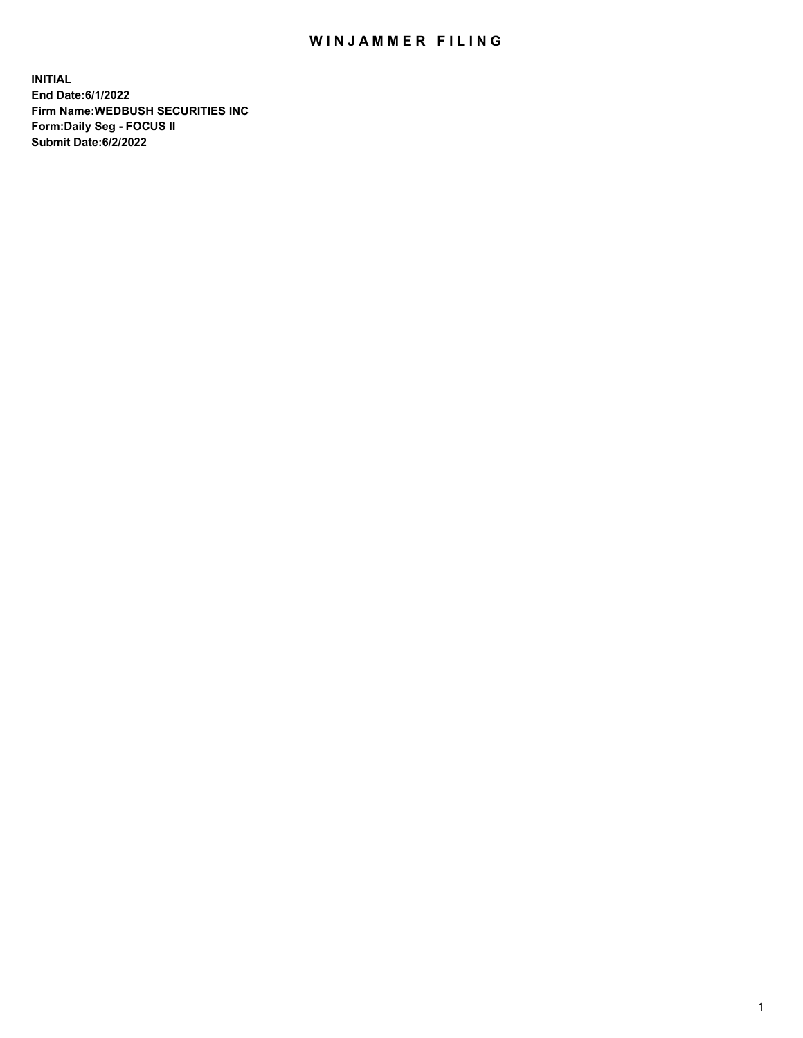## WIN JAMMER FILING

**INITIAL End Date:6/1/2022 Firm Name:WEDBUSH SECURITIES INC Form:Daily Seg - FOCUS II Submit Date:6/2/2022**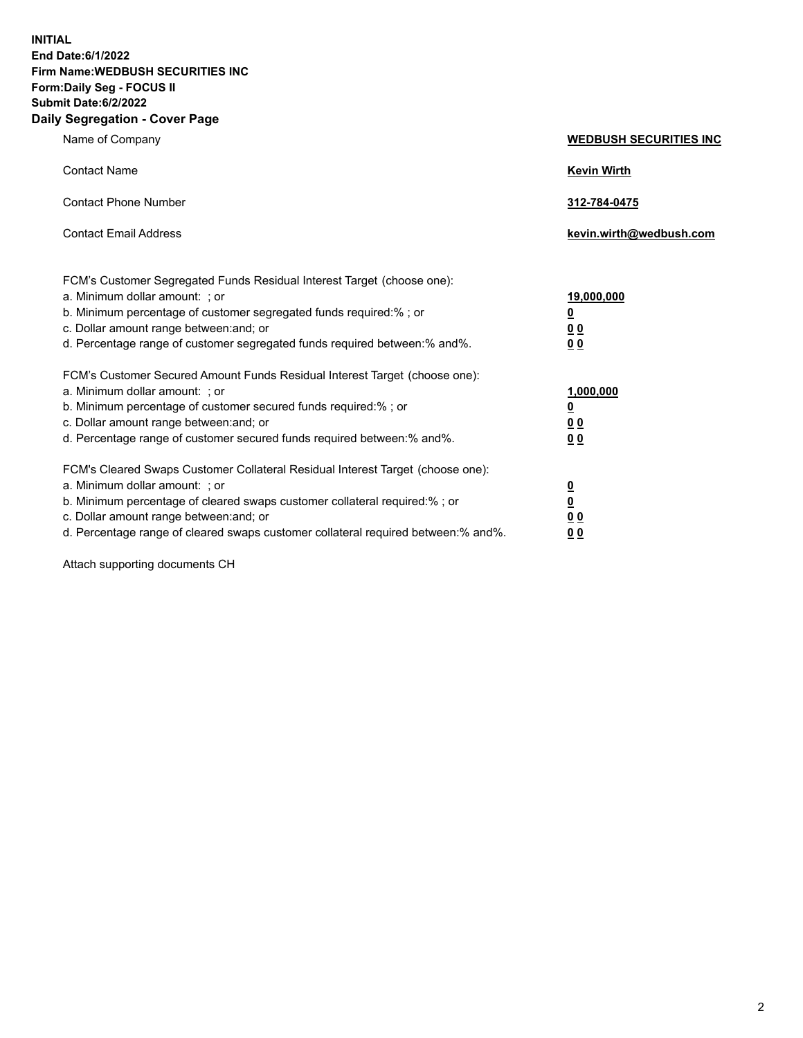**INITIAL End Date:6/1/2022 Firm Name:WEDBUSH SECURITIES INC Form:Daily Seg - FOCUS II Submit Date:6/2/2022 Daily Segregation - Cover Page**

| Name of Company                                                                                                                                                                                                                                                                                         | <b>WEDBUSH SECURITIES INC</b>                                    |
|---------------------------------------------------------------------------------------------------------------------------------------------------------------------------------------------------------------------------------------------------------------------------------------------------------|------------------------------------------------------------------|
| <b>Contact Name</b>                                                                                                                                                                                                                                                                                     | <b>Kevin Wirth</b>                                               |
| <b>Contact Phone Number</b>                                                                                                                                                                                                                                                                             | 312-784-0475                                                     |
| <b>Contact Email Address</b>                                                                                                                                                                                                                                                                            | kevin.wirth@wedbush.com                                          |
| FCM's Customer Segregated Funds Residual Interest Target (choose one):<br>a. Minimum dollar amount: ; or<br>b. Minimum percentage of customer segregated funds required:%; or<br>c. Dollar amount range between: and; or<br>d. Percentage range of customer segregated funds required between: % and %. | 19,000,000<br><u>0</u><br>0 <sub>0</sub><br>0 <sub>0</sub>       |
| FCM's Customer Secured Amount Funds Residual Interest Target (choose one):<br>a. Minimum dollar amount: ; or<br>b. Minimum percentage of customer secured funds required:%; or<br>c. Dollar amount range between: and; or<br>d. Percentage range of customer secured funds required between:% and%.     | 1,000,000<br><u>0</u><br>0 <sub>0</sub><br>0 <sub>0</sub>        |
| FCM's Cleared Swaps Customer Collateral Residual Interest Target (choose one):<br>a. Minimum dollar amount: ; or<br>b. Minimum percentage of cleared swaps customer collateral required:% ; or<br>c. Dollar amount range between: and; or                                                               | $\overline{\mathbf{0}}$<br>$\underline{\mathbf{0}}$<br><u>00</u> |

d. Percentage range of cleared swaps customer collateral required between:% and%. **0 0**

Attach supporting documents CH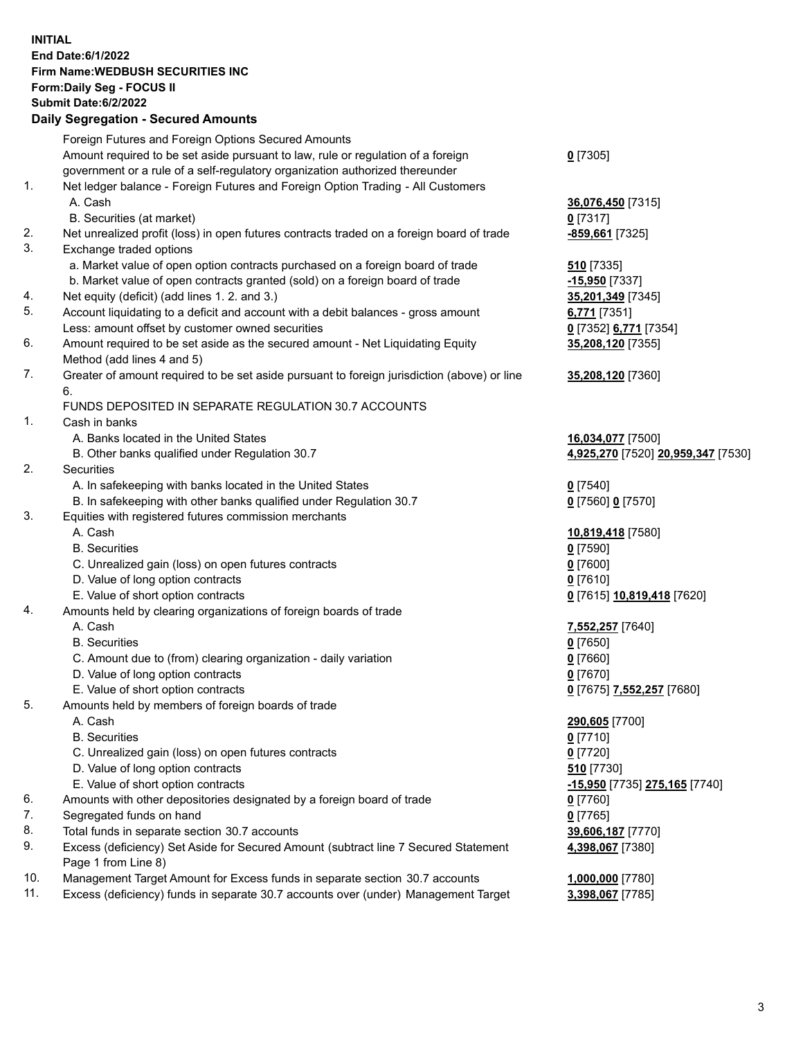**INITIAL End Date:6/1/2022 Firm Name:WEDBUSH SECURITIES INC Form:Daily Seg - FOCUS II Submit Date:6/2/2022 Daily Segregation - Secured Amounts**

|                | $\frac{1}{2}$                                                                               |                                                 |
|----------------|---------------------------------------------------------------------------------------------|-------------------------------------------------|
|                | Foreign Futures and Foreign Options Secured Amounts                                         |                                                 |
|                | Amount required to be set aside pursuant to law, rule or regulation of a foreign            | $0$ [7305]                                      |
|                | government or a rule of a self-regulatory organization authorized thereunder                |                                                 |
| 1.             | Net ledger balance - Foreign Futures and Foreign Option Trading - All Customers             |                                                 |
|                | A. Cash                                                                                     | 36,076,450 [7315]                               |
|                | B. Securities (at market)                                                                   | $0$ [7317]                                      |
| 2.             | Net unrealized profit (loss) in open futures contracts traded on a foreign board of trade   | -859,661 [7325]                                 |
| 3.             | Exchange traded options                                                                     |                                                 |
|                | a. Market value of open option contracts purchased on a foreign board of trade              | 510 [7335]                                      |
|                | b. Market value of open contracts granted (sold) on a foreign board of trade                | -15,950 [7337]                                  |
| 4.             | Net equity (deficit) (add lines 1. 2. and 3.)                                               | 35,201,349 [7345]                               |
| 5.             | Account liquidating to a deficit and account with a debit balances - gross amount           | 6,771 [7351]                                    |
|                | Less: amount offset by customer owned securities                                            | 0 [7352] 6,771 [7354]                           |
| 6.             | Amount required to be set aside as the secured amount - Net Liquidating Equity              | 35,208,120 [7355]                               |
|                | Method (add lines 4 and 5)                                                                  |                                                 |
| 7.             | Greater of amount required to be set aside pursuant to foreign jurisdiction (above) or line | 35,208,120 [7360]                               |
|                | 6.                                                                                          |                                                 |
|                | FUNDS DEPOSITED IN SEPARATE REGULATION 30.7 ACCOUNTS                                        |                                                 |
| $\mathbf{1}$ . | Cash in banks                                                                               |                                                 |
|                | A. Banks located in the United States                                                       | 16,034,077 [7500]                               |
| 2.             | B. Other banks qualified under Regulation 30.7<br><b>Securities</b>                         | 4,925,270 [7520] 20,959,347 [7530]              |
|                | A. In safekeeping with banks located in the United States                                   |                                                 |
|                | B. In safekeeping with other banks qualified under Regulation 30.7                          | $0$ [7540]<br>0 [7560] 0 [7570]                 |
| 3.             | Equities with registered futures commission merchants                                       |                                                 |
|                | A. Cash                                                                                     | 10,819,418 [7580]                               |
|                | <b>B.</b> Securities                                                                        | $0$ [7590]                                      |
|                | C. Unrealized gain (loss) on open futures contracts                                         | $0$ [7600]                                      |
|                | D. Value of long option contracts                                                           | $0$ [7610]                                      |
|                | E. Value of short option contracts                                                          | 0 [7615] 10,819,418 [7620]                      |
| 4.             | Amounts held by clearing organizations of foreign boards of trade                           |                                                 |
|                | A. Cash                                                                                     | 7,552,257 [7640]                                |
|                | <b>B.</b> Securities                                                                        | $0$ [7650]                                      |
|                | C. Amount due to (from) clearing organization - daily variation                             | $0$ [7660]                                      |
|                | D. Value of long option contracts                                                           | $0$ [7670]                                      |
|                | E. Value of short option contracts                                                          | 0 <sup>[7675]</sup> 7,552,257 <sup>[7680]</sup> |
| 5.             | Amounts held by members of foreign boards of trade                                          |                                                 |
|                | A. Cash                                                                                     | 290,605 [7700]                                  |
|                | <b>B.</b> Securities                                                                        | $0$ [7710]                                      |
|                | C. Unrealized gain (loss) on open futures contracts                                         | $0$ [7720]                                      |
|                | D. Value of long option contracts                                                           | 510 [7730]                                      |
|                | E. Value of short option contracts                                                          | <u>-15,950</u> [7735] 275,165 [7740]            |
| 6.             | Amounts with other depositories designated by a foreign board of trade                      | 0 [7760]                                        |
| 7.             | Segregated funds on hand                                                                    | $0$ [7765]                                      |
| 8.             | Total funds in separate section 30.7 accounts                                               | 39,606,187 [7770]                               |
| 9.             | Excess (deficiency) Set Aside for Secured Amount (subtract line 7 Secured Statement         | 4,398,067 [7380]                                |
|                | Page 1 from Line 8)                                                                         |                                                 |
| 10.            | Management Target Amount for Excess funds in separate section 30.7 accounts                 | 1,000,000 [7780]                                |
| 11.            | Excess (deficiency) funds in separate 30.7 accounts over (under) Management Target          | 3,398,067 [7785]                                |
|                |                                                                                             |                                                 |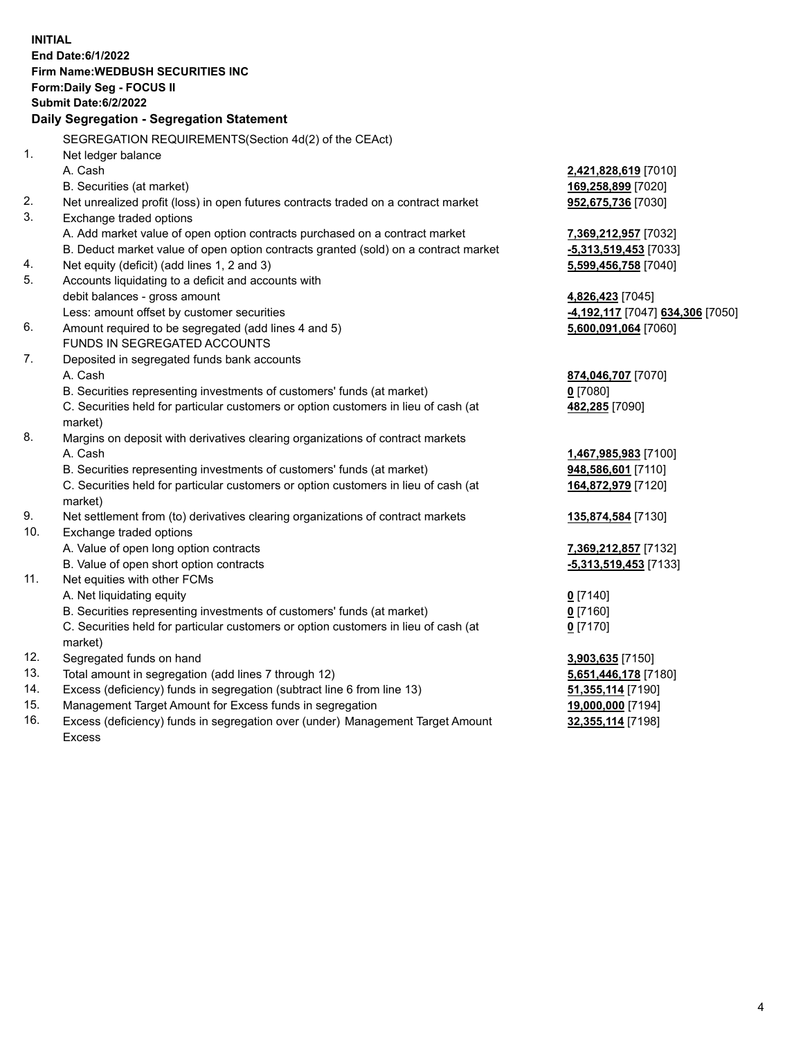|                | <b>INITIAL</b><br>End Date: 6/1/2022                                                |                                                          |
|----------------|-------------------------------------------------------------------------------------|----------------------------------------------------------|
|                | <b>Firm Name: WEDBUSH SECURITIES INC</b>                                            |                                                          |
|                | Form: Daily Seg - FOCUS II                                                          |                                                          |
|                | Submit Date: 6/2/2022                                                               |                                                          |
|                | Daily Segregation - Segregation Statement                                           |                                                          |
|                |                                                                                     |                                                          |
|                | SEGREGATION REQUIREMENTS(Section 4d(2) of the CEAct)                                |                                                          |
| 1 <sub>1</sub> | Net ledger balance                                                                  |                                                          |
|                | A. Cash                                                                             | 2,421,828,619 [7010]                                     |
|                | B. Securities (at market)                                                           | 169,258,899 [7020]                                       |
| 2.             | Net unrealized profit (loss) in open futures contracts traded on a contract market  | 952,675,736 [7030]                                       |
| 3.             | Exchange traded options                                                             |                                                          |
|                | A. Add market value of open option contracts purchased on a contract market         | 7,369,212,957 [7032]                                     |
|                | B. Deduct market value of open option contracts granted (sold) on a contract market | -5,313,519,453 [7033]                                    |
| 4.<br>5.       | Net equity (deficit) (add lines 1, 2 and 3)                                         | 5,599,456,758 [7040]                                     |
|                | Accounts liquidating to a deficit and accounts with                                 |                                                          |
|                | debit balances - gross amount<br>Less: amount offset by customer securities         | 4,826,423 [7045]                                         |
| 6.             | Amount required to be segregated (add lines 4 and 5)                                | -4,192,117 [7047] 634,306 [7050]<br>5,600,091,064 [7060] |
|                | FUNDS IN SEGREGATED ACCOUNTS                                                        |                                                          |
| 7.             | Deposited in segregated funds bank accounts                                         |                                                          |
|                | A. Cash                                                                             | 874,046,707 [7070]                                       |
|                | B. Securities representing investments of customers' funds (at market)              | 0 [7080]                                                 |
|                | C. Securities held for particular customers or option customers in lieu of cash (at | 482,285 [7090]                                           |
|                | market)                                                                             |                                                          |
| 8.             | Margins on deposit with derivatives clearing organizations of contract markets      |                                                          |
|                | A. Cash                                                                             | 1,467,985,983 [7100]                                     |
|                | B. Securities representing investments of customers' funds (at market)              | 948,586,601 [7110]                                       |
|                | C. Securities held for particular customers or option customers in lieu of cash (at | 164,872,979 [7120]                                       |
|                | market)                                                                             |                                                          |
| 9.             | Net settlement from (to) derivatives clearing organizations of contract markets     | 135,874,584 [7130]                                       |
| 10.            | Exchange traded options                                                             |                                                          |
|                | A. Value of open long option contracts                                              | 7,369,212,857 [7132]                                     |
|                | B. Value of open short option contracts                                             | -5,313,519,453 [7133]                                    |
| 11.            | Net equities with other FCMs                                                        |                                                          |
|                | A. Net liquidating equity                                                           | $0$ [7140]                                               |
|                | B. Securities representing investments of customers' funds (at market)              | $0$ [7160]                                               |
|                | C. Securities held for particular customers or option customers in lieu of cash (at | $0$ [7170]                                               |
|                | market)                                                                             |                                                          |
| 12.            | Segregated funds on hand                                                            | 3,903,635 [7150]                                         |
| 13.            | Total amount in segregation (add lines 7 through 12)                                | 5,651,446,178 [7180]                                     |
| 14.            | Excess (deficiency) funds in segregation (subtract line 6 from line 13)             | 51,355,114 [7190]                                        |
| 15.<br>16.     | Management Target Amount for Excess funds in segregation                            | 19,000,000 [7194]                                        |
|                | Excess (deficiency) funds in segregation over (under) Management Target Amount      | 32,355,114 [7198]                                        |

16. Excess (deficiency) funds in segregation over (under) Management Target Amount Excess